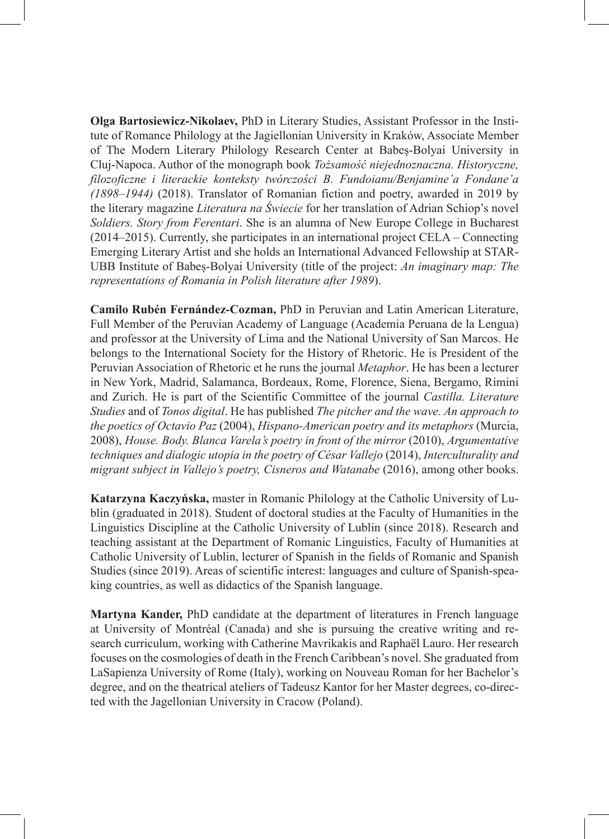**Olga Bartosiewicz-Nikolaev,** PhD in Literary Studies, Assistant Professor in the Institute of Romance Philology at the Jagiellonian University in Kraków, Associate Member of The Modern Literary Philology Research Center at Babeș-Bolyai University in Cluj-Napoca. Author of the monograph book *Tożsamość niejednoznaczna. Historyczne, filozoficzne i literackie konteksty twórczości B. Fundoianu/Benjamine'a Fondane'a (1898‒1944)* (2018). Translator of Romanian fiction and poetry, awarded in 2019 by the literary magazine *Literatura na Świecie* for her translation of Adrian Schiop's novel *Soldiers. Story from Ferentari*. She is an alumna of New Europe College in Bucharest  $(2014–2015)$ . Currently, she participates in an international project CELA – Connecting Emerging Literary Artist and she holds an International Advanced Fellowship at STAR-UBB Institute of Babeș-Bolyai University (title of the project: *An imaginary map: The representations of Romania in Polish literature after 1989*).

**Camilo Rubén Fernández-Cozman,** PhD in Peruvian and Latin American Literature, Full Member of the Peruvian Academy of Language (Academia Peruana de la Lengua) and professor at the University of Lima and the National University of San Marcos. He belongs to the International Society for the History of Rhetoric. He is President of the Peruvian Association of Rhetoric et he runs the journal *Metaphor*. He has been a lecturer in New York, Madrid, Salamanca, Bordeaux, Rome, Florence, Siena, Bergamo, Rimini and Zurich. He is part of the Scientific Committee of the journal *Castilla. Literature Studies* and of *Tonos digital*. He has published *The pitcher and the wave. An approach to the poetics of Octavio Paz* (2004), *Hispano-American poetry and its metaphors* (Murcia, 2008), *House. Body. Blanca Varela's poetry in front of the mirror* (2010), *Argumentative techniques and dialogic utopia in the poetry of César Vallejo* (2014), *Interculturality and migrant subject in Vallejo's poetry, Cisneros and Watanabe* (2016), among other books.

**Katarzyna Kaczyńska,** master in Romanic Philology at the Catholic University of Lublin (graduated in 2018). Student of doctoral studies at the Faculty of Humanities in the Linguistics Discipline at the Catholic University of Lublin (since 2018). Research and teaching assistant at the Department of Romanic Linguistics, Faculty of Humanities at Catholic University of Lublin, lecturer of Spanish in the fields of Romanic and Spanish Studies (since 2019). Areas of scientific interest: languages and culture of Spanish-speaking countries, as well as didactics of the Spanish language.

**Martyna Kander,** PhD candidate at the department of literatures in French language at University of Montréal (Canada) and she is pursuing the creative writing and research curriculum, working with Catherine Mavrikakis and Raphaël Lauro. Her research focuses on the cosmologies of death in the French Caribbean's novel. She graduated from LaSapienza University of Rome (Italy), working on Nouveau Roman for her Bachelor's degree, and on the theatrical ateliers of Tadeusz Kantor for her Master degrees, co-directed with the Jagellonian University in Cracow (Poland).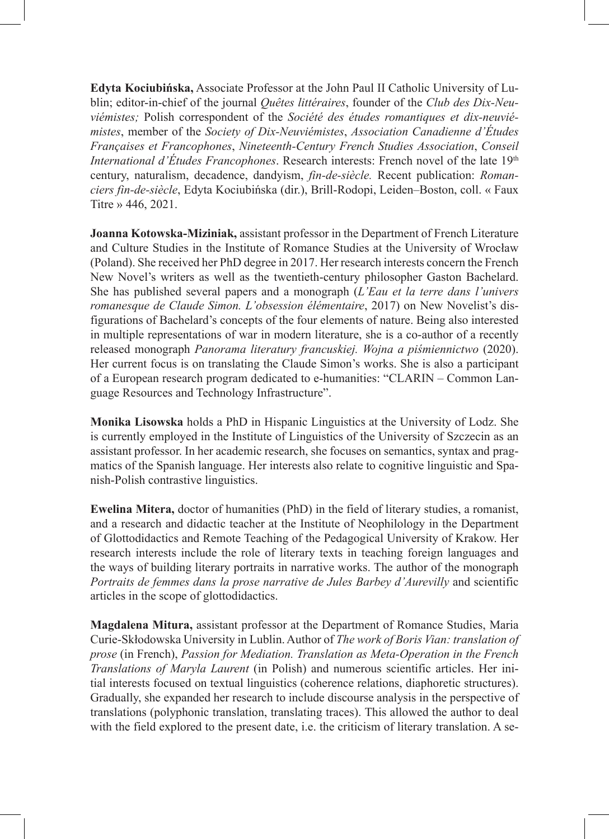**Edyta Kociubińska,** Associate Professor at the John Paul II Catholic University of Lublin; editor-in-chief of the journal *Quêtes littéraires*, founder of the *Club des Dix-Neuviémistes;* Polish correspondent of the *Société des études romantiques et dix-neuviémistes*, member of the *Society of Dix-Neuviémistes*, *Association Canadienne d'Études Françaises et Francophones*, *Nineteenth-Century French Studies Association*, *Conseil International d'Études Francophones*. Research interests: French novel of the late 19<sup>th</sup> century, naturalism, decadence, dandyism, *fin-de-siècle.* Recent publication: *Romanciers fin-de-siècle*, Edyta Kociubińska (dir.), Brill-Rodopi, Leiden‒Boston, coll. « Faux Titre » 446, 2021.

**Joanna Kotowska-Miziniak,** assistant professor in the Department of French Literature and Culture Studies in the Institute of Romance Studies at the University of Wrocław (Poland). She received her PhD degree in 2017. Her research interests concern the French New Novel's writers as well as the twentieth-century philosopher Gaston Bachelard. She has published several papers and a monograph (*L'Eau et la terre dans l'univers romanesque de Claude Simon. L'obsession élémentaire*, 2017) on New Novelist's disfigurations of Bachelard's concepts of the four elements of nature. Being also interested in multiple representations of war in modern literature, she is a co-author of a recently released monograph *Panorama literatury francuskiej. Wojna a piśmiennictwo* (2020). Her current focus is on translating the Claude Simon's works. She is also a participant of a European research program dedicated to e-humanities: "CLARIN – Common Language Resources and Technology Infrastructure".

**Monika Lisowska** holds a PhD in Hispanic Linguistics at the University of Lodz. She is currently employed in the Institute of Linguistics of the University of Szczecin as an assistant professor. In her academic research, she focuses on semantics, syntax and pragmatics of the Spanish language. Her interests also relate to cognitive linguistic and Spanish-Polish contrastive linguistics.

**Ewelina Mitera,** doctor of humanities (PhD) in the field of literary studies, a romanist, and a research and didactic teacher at the Institute of Neophilology in the Department of Glottodidactics and Remote Teaching of the Pedagogical University of Krakow. Her research interests include the role of literary texts in teaching foreign languages and the ways of building literary portraits in narrative works. The author of the monograph *Portraits de femmes dans la prose narrative de Jules Barbey d'Aurevilly* and scientific articles in the scope of glottodidactics.

**Magdalena Mitura,** assistant professor at the Department of Romance Studies, Maria Curie-Skłodowska University in Lublin. Author of *The work of Boris Vian: translation of prose* (in French), *Passion for Mediation. Translation as Meta-Operation in the French Translations of Maryla Laurent* (in Polish) and numerous scientific articles. Her initial interests focused on textual linguistics (coherence relations, diaphoretic structures). Gradually, she expanded her research to include discourse analysis in the perspective of translations (polyphonic translation, translating traces). This allowed the author to deal with the field explored to the present date, i.e. the criticism of literary translation. A se-